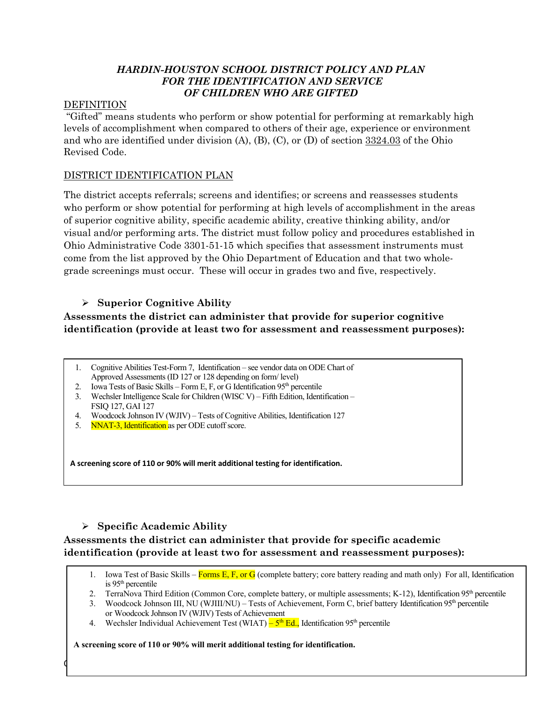## *HARDIN-HOUSTON SCHOOL DISTRICT POLICY AND PLAN FOR THE IDENTIFICATION AND SERVICE OF CHILDREN WHO ARE GIFTED*

## DEFINITION

"Gifted" means students who perform or show potential for performing at remarkably high levels of accomplishment when compared to others of their age, experience or environment and who are identified under division  $(A)$ ,  $(B)$ ,  $(C)$ , or  $(D)$  of section  $3324.03$  of the Ohio Revised Code.

## DISTRICT IDENTIFICATION PLAN

The district accepts referrals; screens and identifies; or screens and reassesses students who perform or show potential for performing at high levels of accomplishment in the areas of superior cognitive ability, specific academic ability, creative thinking ability, and/or visual and/or performing arts. The district must follow policy and procedures established in Ohio Administrative Code 3301-51-15 which specifies that assessment instruments must come from the list approved by the Ohio Department of Education and that two wholegrade screenings must occur. These will occur in grades two and five, respectively.

# Ø **Superior Cognitive Ability**

# **Assessments the district can administer that provide for superior cognitive identification (provide at least two for assessment and reassessment purposes):**

- 1. Cognitive Abilities Test-Form 7, Identification see vendor data on ODE Chart of Approved Assessments (ID 127 or 128 depending on form/ level)
- 2. Iowa Tests of Basic Skills Form E, F, or G Identification  $95<sup>th</sup>$  percentile
- 3. Wechsler Intelligence Scale for Children (WISC V) Fifth Edition, Identification FSIQ 127, GAI 127
- 4. Woodcock Johnson IV (WJIV) Tests of Cognitive Abilities, Identification 127
- 5. NNAT-3, Identification as per ODE cutoff score.

**A screening score of 110 or 90% will merit additional testing for identification.**

# Ø **Specific Academic Ability**

# **Assessments the district can administer that provide for specific academic identification (provide at least two for assessment and reassessment purposes):**

 $\phi$ 

- 1. Iowa Test of Basic Skills Forms E, F, or G (complete battery; core battery reading and math only) For all, Identification is 95th percentile
- 2. TerraNova Third Edition (Common Core, complete battery, or multiple assessments; K-12), Identification 95<sup>th</sup> percentile
- 3. Woodcock Johnson III, NU (WJIII/NU) Tests of Achievement, Form C, brief battery Identification 95<sup>th</sup> percentile or Woodcock Johnson IV (WJIV) Tests of Achievement
- 4. Wechsler Individual Achievement Test (WIAT)  $-5<sup>th</sup> Ed.$ , Identification 95<sup>th</sup> percentile

**A screening score of 110 or 90% will merit additional testing for identification.**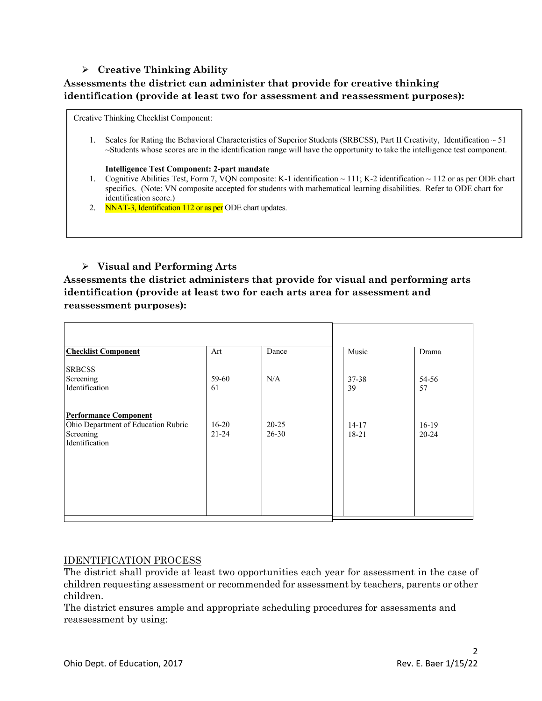## Ø **Creative Thinking Ability**

# **Assessments the district can administer that provide for creative thinking identification (provide at least two for assessment and reassessment purposes):**

Creative Thinking Checklist Component:

1. Scales for Rating the Behavioral Characteristics of Superior Students (SRBCSS), Part II Creativity, Identification  $\sim$  51 ~Students whose scores are in the identification range will have the opportunity to take the intelligence test component.

#### **Intelligence Test Component: 2-part mandate**

- 1. Cognitive Abilities Test, Form 7, VQN composite: K-1 identification ~ 111; K-2 identification ~ 112 or as per ODE chart specifics. (Note: VN composite accepted for students with mathematical learning disabilities. Refer to ODE chart for identification score.)
- 2. NNAT-3, Identification 112 or as per ODE chart updates.

## Ø **Visual and Performing Arts**

**Assessments the district administers that provide for visual and performing arts identification (provide at least two for each arts area for assessment and reassessment purposes):**

| <b>Checklist Component</b>                                                                         | Art                    | Dance                  | Music              | Drama                |
|----------------------------------------------------------------------------------------------------|------------------------|------------------------|--------------------|----------------------|
| <b>SRBCSS</b><br>Screening<br>Identification                                                       | 59-60<br>61            | N/A                    | $37 - 38$<br>39    | 54-56<br>57          |
| <b>Performance Component</b><br>Ohio Department of Education Rubric<br>Screening<br>Identification | $16 - 20$<br>$21 - 24$ | $20 - 25$<br>$26 - 30$ | $14 - 17$<br>18-21 | $16-19$<br>$20 - 24$ |
|                                                                                                    |                        |                        |                    |                      |

### IDENTIFICATION PROCESS

The district shall provide at least two opportunities each year for assessment in the case of children requesting assessment or recommended for assessment by teachers, parents or other children.

The district ensures ample and appropriate scheduling procedures for assessments and reassessment by using: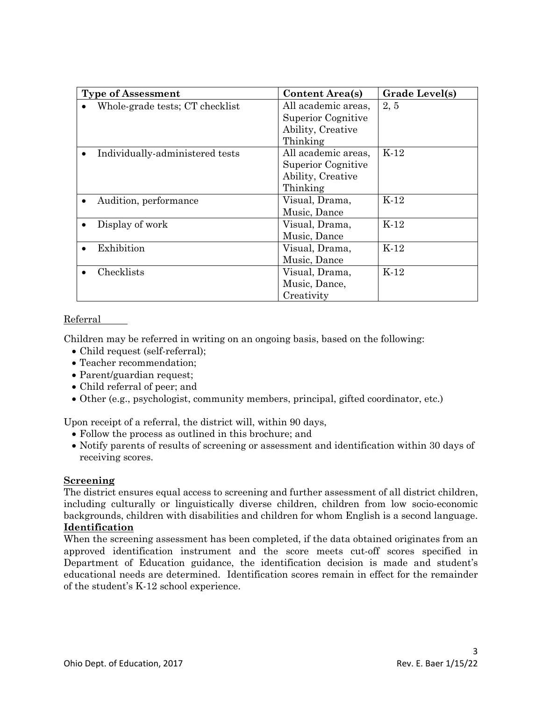| <b>Type of Assessment</b>       | <b>Content Area(s)</b> | Grade Level(s) |  |
|---------------------------------|------------------------|----------------|--|
| Whole-grade tests; CT checklist | All academic areas,    | 2, 5           |  |
|                                 | Superior Cognitive     |                |  |
|                                 | Ability, Creative      |                |  |
|                                 | Thinking               |                |  |
| Individually-administered tests | All academic areas,    | $K-12$         |  |
|                                 | Superior Cognitive     |                |  |
|                                 | Ability, Creative      |                |  |
|                                 | Thinking               |                |  |
| Audition, performance           | Visual, Drama,         | $K-12$         |  |
|                                 | Music, Dance           |                |  |
| Display of work                 | Visual, Drama,         | $K-12$         |  |
|                                 | Music, Dance           |                |  |
| Exhibition                      | Visual, Drama,         | $K-12$         |  |
|                                 | Music, Dance           |                |  |
| Checklists                      | Visual, Drama,         | $K-12$         |  |
|                                 | Music, Dance,          |                |  |
|                                 | Creativity             |                |  |

### Referral

Children may be referred in writing on an ongoing basis, based on the following:

- Child request (self-referral);
- Teacher recommendation;
- Parent/guardian request;
- Child referral of peer; and
- Other (e.g., psychologist, community members, principal, gifted coordinator, etc.)

Upon receipt of a referral, the district will, within 90 days,

- Follow the process as outlined in this brochure; and
- Notify parents of results of screening or assessment and identification within 30 days of receiving scores.

### **Screening**

The district ensures equal access to screening and further assessment of all district children, including culturally or linguistically diverse children, children from low socio-economic backgrounds, children with disabilities and children for whom English is a second language. **Identification**

When the screening assessment has been completed, if the data obtained originates from an approved identification instrument and the score meets cut-off scores specified in Department of Education guidance, the identification decision is made and student's educational needs are determined. Identification scores remain in effect for the remainder of the student's K-12 school experience.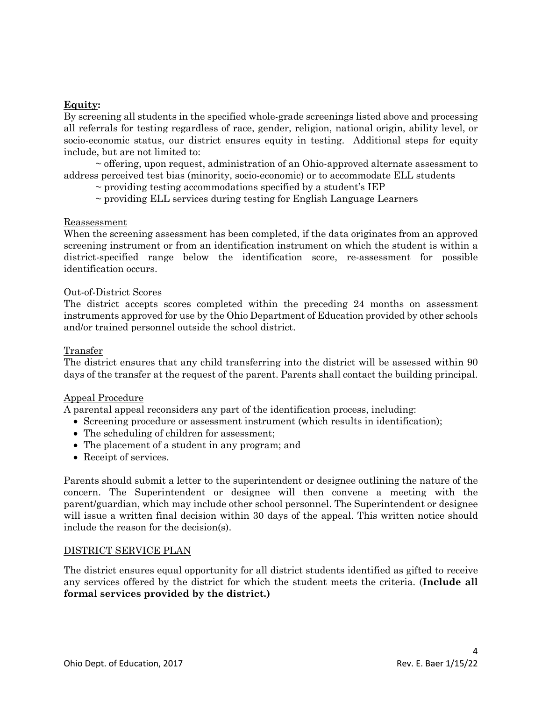### **Equity:**

By screening all students in the specified whole-grade screenings listed above and processing all referrals for testing regardless of race, gender, religion, national origin, ability level, or socio-economic status, our district ensures equity in testing. Additional steps for equity include, but are not limited to:

 $\sim$  offering, upon request, administration of an Ohio-approved alternate assessment to address perceived test bias (minority, socio-economic) or to accommodate ELL students

~ providing testing accommodations specified by a student's IEP

~ providing ELL services during testing for English Language Learners

#### Reassessment

When the screening assessment has been completed, if the data originates from an approved screening instrument or from an identification instrument on which the student is within a district-specified range below the identification score, re-assessment for possible identification occurs.

#### Out-of-District Scores

The district accepts scores completed within the preceding 24 months on assessment instruments approved for use by the Ohio Department of Education provided by other schools and/or trained personnel outside the school district.

#### Transfer

The district ensures that any child transferring into the district will be assessed within 90 days of the transfer at the request of the parent. Parents shall contact the building principal.

#### Appeal Procedure

A parental appeal reconsiders any part of the identification process, including:

- Screening procedure or assessment instrument (which results in identification);
- The scheduling of children for assessment;
- The placement of a student in any program; and
- Receipt of services.

Parents should submit a letter to the superintendent or designee outlining the nature of the concern. The Superintendent or designee will then convene a meeting with the parent/guardian, which may include other school personnel. The Superintendent or designee will issue a written final decision within 30 days of the appeal. This written notice should include the reason for the decision(s).

#### DISTRICT SERVICE PLAN

The district ensures equal opportunity for all district students identified as gifted to receive any services offered by the district for which the student meets the criteria. (**Include all formal services provided by the district.)**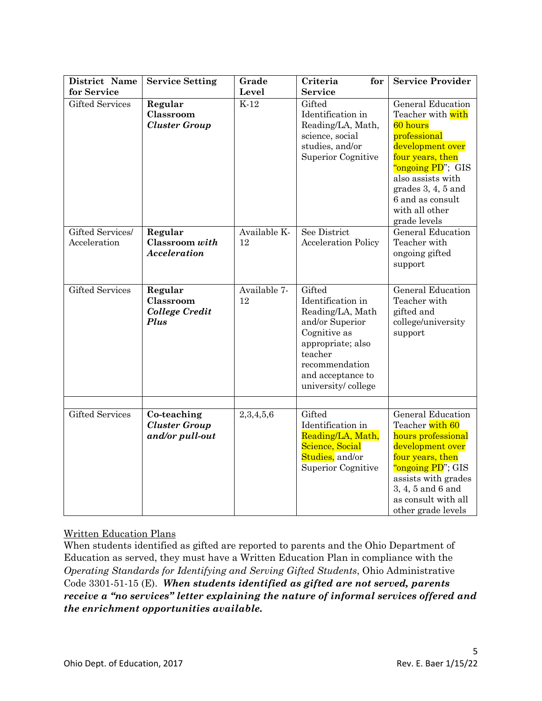| District Name                    | <b>Service Setting</b>                                 | Grade              | Criteria<br>for                                                                                                                                                                 | <b>Service Provider</b>                                                                                                                                                                                                            |
|----------------------------------|--------------------------------------------------------|--------------------|---------------------------------------------------------------------------------------------------------------------------------------------------------------------------------|------------------------------------------------------------------------------------------------------------------------------------------------------------------------------------------------------------------------------------|
| for Service                      |                                                        | Level              | <b>Service</b>                                                                                                                                                                  |                                                                                                                                                                                                                                    |
| <b>Gifted Services</b>           | Regular<br>Classroom<br><b>Cluster Group</b>           | $K-12$             | Gifted<br>Identification in<br>Reading/LA, Math,<br>science, social<br>studies, and/or<br>Superior Cognitive                                                                    | General Education<br>Teacher with with<br>60 hours<br>professional<br>development over<br>four years, then<br>"ongoing PD"; GIS<br>also assists with<br>grades $3, 4, 5$ and<br>6 and as consult<br>with all other<br>grade levels |
| Gifted Services/<br>Acceleration | Regular<br>Classroom with<br><b>Acceleration</b>       | Available K-<br>12 | See District<br><b>Acceleration Policy</b>                                                                                                                                      | General Education<br>Teacher with<br>ongoing gifted<br>support                                                                                                                                                                     |
| <b>Gifted Services</b>           | Regular<br>Classroom<br><b>College Credit</b><br>Plus  | Available 7-<br>12 | Gifted<br>Identification in<br>Reading/LA, Math<br>and/or Superior<br>Cognitive as<br>appropriate; also<br>teacher<br>recommendation<br>and acceptance to<br>university/college | <b>General Education</b><br>Teacher with<br>gifted and<br>college/university<br>support                                                                                                                                            |
| <b>Gifted Services</b>           | Co-teaching<br><b>Cluster Group</b><br>and/or pull-out | 2,3,4,5,6          | Gifted<br>Identification in<br>Reading/LA, Math,<br>Science, Social<br>Studies, and/or<br>Superior Cognitive                                                                    | <b>General Education</b><br>Teacher with 60<br>hours professional<br>development over<br>four years, then<br>"ongoing PD"; GIS<br>assists with grades<br>3, 4, 5 and 6 and<br>as consult with all<br>other grade levels            |

# Written Education Plans

When students identified as gifted are reported to parents and the Ohio Department of Education as served, they must have a Written Education Plan in compliance with the *Operating Standards for Identifying and Serving Gifted Students*, Ohio Administrative Code 3301-51-15 (E). *When students identified as gifted are not served, parents receive a "no services" letter explaining the nature of informal services offered and the enrichment opportunities available.*